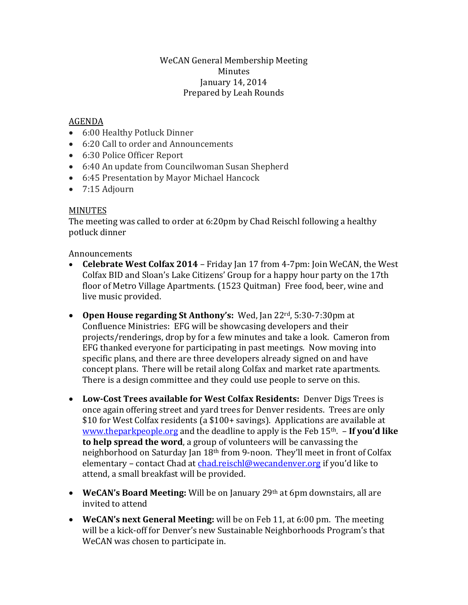### WeCAN General Membership Meeting Minutes January 14, 2014 Prepared by Leah Rounds

## AGENDA

- 6:00 Healthy Potluck Dinner
- 6:20 Call to order and Announcements
- 6:30 Police Officer Report
- 6:40 An update from Councilwoman Susan Shepherd
- 6:45 Presentation by Mayor Michael Hancock
- 7:15 Adjourn

#### MINUTES

The meeting was called to order at 6:20pm by Chad Reischl following a healthy potluck dinner

#### Announcements

- **Celebrate West Colfax 2014** Friday Jan 17 from 4-7pm: Join WeCAN, the West Colfax BID and Sloan's Lake Citizens' Group for a happy hour party on the 17th floor of Metro Village Apartments. (1523 Quitman) Free food, beer, wine and live music provided.
- **Open House regarding St Anthony's:** Wed, Jan 22rd, 5:30-7:30pm at Confluence Ministries: EFG will be showcasing developers and their projects/renderings, drop by for a few minutes and take a look. Cameron from EFG thanked everyone for participating in past meetings. Now moving into specific plans, and there are three developers already signed on and have concept plans. There will be retail along Colfax and market rate apartments. There is a design committee and they could use people to serve on this.
- **Low-Cost Trees available for West Colfax Residents:** Denver Digs Trees is once again offering street and yard trees for Denver residents. Trees are only \$10 for West Colfax residents (a \$100+ savings). Applications are available at [www.theparkpeople.org](http://www.theparkpeople.org/) and the deadline to apply is the Feb 15th. – **If you'd like to help spread the word**, a group of volunteers will be canvassing the neighborhood on Saturday Jan 18th from 9-noon. They'll meet in front of Colfax elementary – contact Chad at [chad.reischl@wecandenver.org](mailto:chad.reischl@wecandenver.org) if you'd like to attend, a small breakfast will be provided.
- **WeCAN's Board Meeting:** Will be on January 29th at 6pm downstairs, all are invited to attend
- **WeCAN's next General Meeting:** will be on Feb 11, at 6:00 pm. The meeting will be a kick-off for Denver's new Sustainable Neighborhoods Program's that WeCAN was chosen to participate in.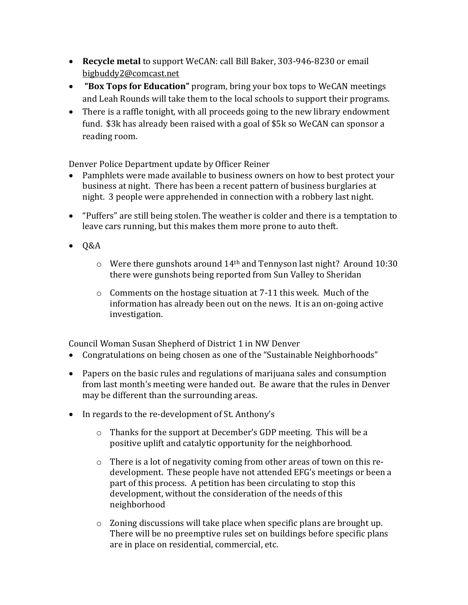- **Recycle metal** to support WeCAN: call Bill Baker, 303-946-8230 or email [bigbuddy2@comcast.net](mailto:bigbuddy2@comcast.net)
- **"Box Tops for Education"** program, bring your box tops to WeCAN meetings and Leah Rounds will take them to the local schools to support their programs.
- There is a raffle tonight, with all proceeds going to the new library endowment fund. \$3k has already been raised with a goal of \$5k so WeCAN can sponsor a reading room.

Denver Police Department update by Officer Reiner

- Pamphlets were made available to business owners on how to best protect your business at night. There has been a recent pattern of business burglaries at night. 3 people were apprehended in connection with a robbery last night.
- "Puffers" are still being stolen. The weather is colder and there is a temptation to leave cars running, but this makes them more prone to auto theft.
- $\bullet$  Q&A
	- o Were there gunshots around 14th and Tennyson last night? Around 10:30 there were gunshots being reported from Sun Valley to Sheridan
	- o Comments on the hostage situation at 7-11 this week. Much of the information has already been out on the news. It is an on-going active investigation.

Council Woman Susan Shepherd of District 1 in NW Denver

- Congratulations on being chosen as one of the "Sustainable Neighborhoods"
- Papers on the basic rules and regulations of marijuana sales and consumption from last month's meeting were handed out. Be aware that the rules in Denver may be different than the surrounding areas.
- In regards to the re-development of St. Anthony's
	- o Thanks for the support at December's GDP meeting. This will be a positive uplift and catalytic opportunity for the neighborhood.
	- o There is a lot of negativity coming from other areas of town on this redevelopment. These people have not attended EFG's meetings or been a part of this process. A petition has been circulating to stop this development, without the consideration of the needs of this neighborhood
	- o Zoning discussions will take place when specific plans are brought up. There will be no preemptive rules set on buildings before specific plans are in place on residential, commercial, etc.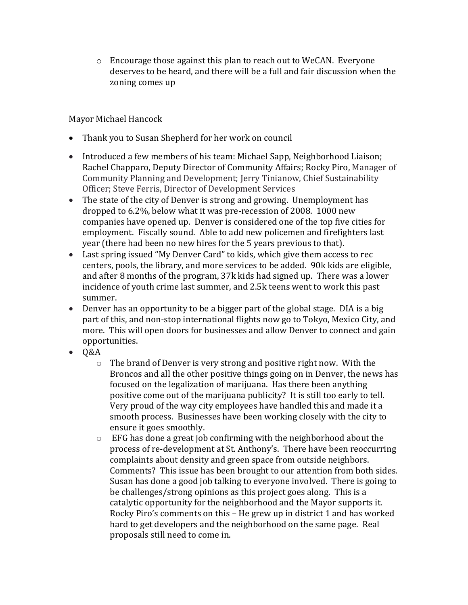o Encourage those against this plan to reach out to WeCAN. Everyone deserves to be heard, and there will be a full and fair discussion when the zoning comes up

Mayor Michael Hancock

- Thank you to Susan Shepherd for her work on council
- Introduced a few members of his team: Michael Sapp, Neighborhood Liaison; Rachel Chapparo, Deputy Director of Community Affairs; Rocky Piro, Manager of Community Planning and Development; Jerry Tinianow, Chief Sustainability Officer; Steve Ferris, Director of Development Services
- The state of the city of Denver is strong and growing. Unemployment has dropped to 6.2%, below what it was pre-recession of 2008. 1000 new companies have opened up. Denver is considered one of the top five cities for employment. Fiscally sound. Able to add new policemen and firefighters last year (there had been no new hires for the 5 years previous to that).
- Last spring issued "My Denver Card" to kids, which give them access to rec centers, pools, the library, and more services to be added. 90k kids are eligible, and after 8 months of the program, 37k kids had signed up. There was a lower incidence of youth crime last summer, and 2.5k teens went to work this past summer.
- Denver has an opportunity to be a bigger part of the global stage. DIA is a big part of this, and non-stop international flights now go to Tokyo, Mexico City, and more. This will open doors for businesses and allow Denver to connect and gain opportunities.
- $\bullet$  Q&A
	- o The brand of Denver is very strong and positive right now. With the Broncos and all the other positive things going on in Denver, the news has focused on the legalization of marijuana. Has there been anything positive come out of the marijuana publicity? It is still too early to tell. Very proud of the way city employees have handled this and made it a smooth process. Businesses have been working closely with the city to ensure it goes smoothly.
	- $\circ$  EFG has done a great job confirming with the neighborhood about the process of re-development at St. Anthony's. There have been reoccurring complaints about density and green space from outside neighbors. Comments? This issue has been brought to our attention from both sides. Susan has done a good job talking to everyone involved. There is going to be challenges/strong opinions as this project goes along. This is a catalytic opportunity for the neighborhood and the Mayor supports it. Rocky Piro's comments on this – He grew up in district 1 and has worked hard to get developers and the neighborhood on the same page. Real proposals still need to come in.